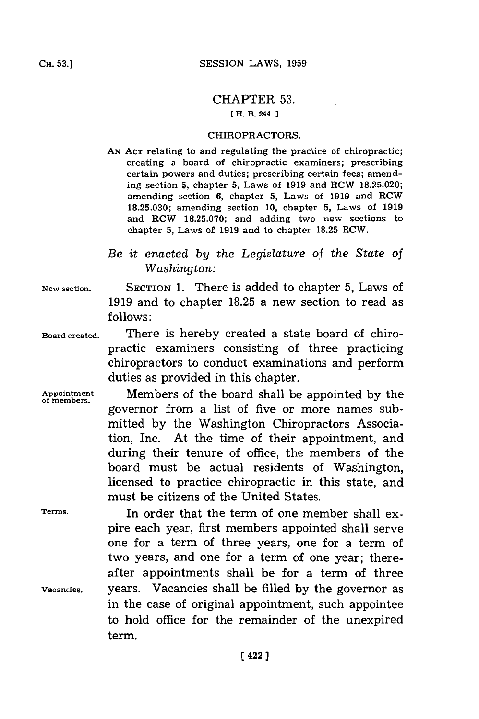## CHAPTER **53.**

## **[ H. B. 244.**

## CHIROPRACTORS.

- **AN ACT** relating to and regulating the practice of chiropractic; creating a board of chiropractic examiners; prescribing certain powers and duties; prescribing certain fees; amending section **5,** chapter **5,** Laws of **1919** and RCW **18.25.020;** amending section **6,** chapter **5,** Laws of **1919** and RCW **18.25.030;** amending section **10,** chapter **5,** Laws of **1919** and RCW **18.25.070;** and adding two new sections to chapter **5,** Laws of **1919** and to chapter **18.25** RCW.
- *Be it enacted by the Legislature* of *the State of Washington:*
- **New section. SECTION 1.** There is added to chapter **5,** Laws of **1919** and to chapter **18.25** a new section to read as **follows:**
- **Board created.** There is hereby created a state board of chiropractic examiners consisting of three practicing chiropractors to conduct examinations and perform duties as provided in this chapter.
- **Appointment** Members of the board shall be appointed **by** the **of members.** governor from a list of five or more names submitted **by** the Washington Chiropractors Association, Inc. At the time of their appointment, and during their tenure of office, the members of the board must be actual residents of Washington, licensed to practice chiropractic in this state, and must be citizens of the United States.

**Terms.** In order that the term of one member shall expire each year, first members appointed shall serve one for a term of three years, one for a term of two years, and one for a term of one year; thereafter appointments shall be for a term of three Vacancies. years. Vacancies shall be filled **by** the governor as in the case of original appointment, such appointee to hold office for the remainder of the unexpired term.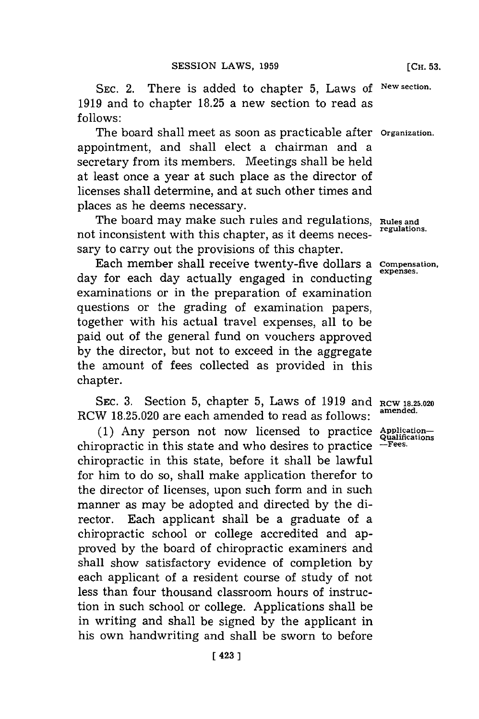**SEC.** 2. There is added to chapter **5,** Laws **of New section. 1919** and to chapter **18.25** a new section to read as **follows:**

The board shall meet as soon as practicable after **Organization.** appointment, and shall elect a chairman and a secretary from its members. Meetings shall be held at least once a year at such place as the director of licenses shall determine, and at such other times and places as he deems necessary.

The board may make such rules and regulations, **Rules and** not inconsistent with this chapter, as it deems necessary to carry out the provisions of this chapter.

Each member shall receive twenty-five dollars a **Compensation**, day for each day actually engaged in conducting examinations or in the preparation of examination questions or the grading of examination papers, together with his actual travel expenses, all to be paid out of the general fund on vouchers approved **by** the director, but not to exceed in the aggregate the amount of fees collected as provided in this chapter.

**SEC. 3.** Section **5,** chapter **5,** Laws of **1919** and **RCW 18.25.020** RCW 18.25.020 are each amended to read as follows:

**(1)** Any person not now licensed to practice **Application**chiropractic in this state and who desires to practice **-Fees.** chiropractic in this state, before it shall be lawful for him to do so, shall make application therefor to the director of licenses, upon such form and in such manner as may be adopted and directed **by** the director. Each applicant shall be a graduate of a chiropractic school or college accredited and approved **by** the board of chiropractic examiners and shall show satisfactory evidence of completion **by** each applicant of a resident course of study of not less than four thousand classroom hours of instruction in such school or college. Applications shall be in writing and shall be signed **by** the applicant in his own handwriting and shall be sworn to before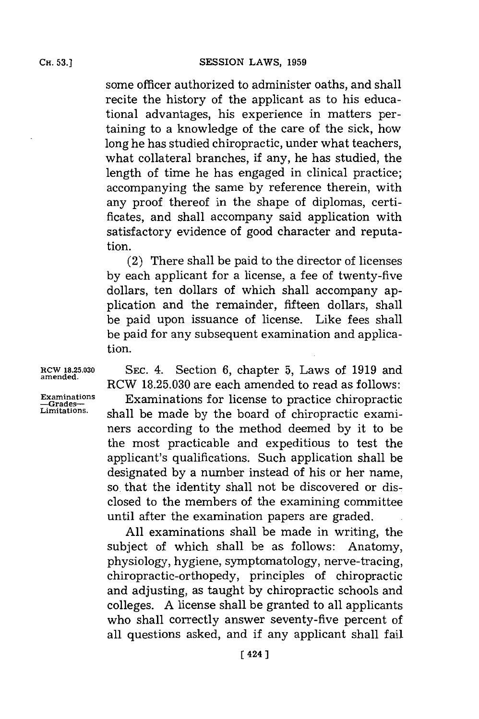some officer authorized to administer oaths, and shall recite the history of the applicant as to his educational advantages, his experience in matters pertaining to a knowledge of the care of the sick, how long he has studied chiropractic, under what teachers, what collateral branches, if any, he has studied, the length of time he has engaged in clinical practice; accompanying the same **by** reference therein, with any proof thereof in the shape of diplomas, certificates, and shall accompany said application with satisfactory evidence of good character and reputation.

(2) There shall be paid to the director of licenses **by** each applicant for a license, a fee of twenty-five dollars, ten dollars of which shall accompany application and the remainder, fifteen dollars, shall be paid upon issuance of license. Like fees shall be paid for any subsequent examination and application.

**RCW 18.25.030 SEC.** 4. Section **6,** chapter **5,** Laws of **1919** and RCW **18.25.030** are each amended to read as follows:

Examinations **Examinations Examinations -Grades- Crades- Examinations -**Example **-Grades- Crades Constructive Construction Limitations,** shall be made **by** the board of chiropractic examiners according to the method deemed **by** it to be the most practicable and expeditious to test the applicant's qualifications. Such application shall be designated **by** a number instead of his or her name, so. that the identity shall not be discovered or disclosed to the members of the examining committee until after the examination papers are graded.

> **All** examinations shall be made in writing, the subject of which shall be as follows: Anatomy, physiology, hygiene, symptomatology, nerve-tracing, chiropractic-orthopedy, principles of chiropractic and adjusting, as taught **by** chiropractic schools and colleges. **A** license shall be granted to all applicants who shall correctly answer seventy-five percent of all questions asked, and if any applicant shall fail

**amended.**